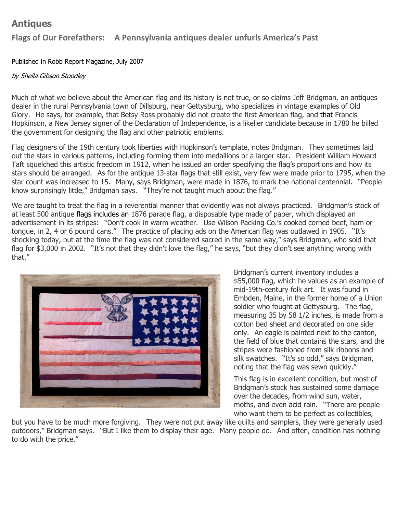## **Antiques**

## **Flags of Our Forefathers: A Pennsylvania antiques dealer unfurls America's Past**

Published in Robb Report Magazine, July 2007

## by Sheila Gibson Stoodley

Much of what we believe about the American flag and its history is not true, or so claims Jeff Bridgman, an antiques dealer in the rural Pennsylvania town of Dillsburg, near Gettysburg, who specializes in vintage examples of Old Glory. He says, for example, that Betsy Ross probably did not create the first American flag, and that Francis Hopkinson, a New Jersey signer of the Declaration of Independence, is a likelier candidate because in 1780 he billed the government for designing the flag and other patriotic emblems.

Flag designers of the 19th century took liberties with Hopkinson's template, notes Bridgman. They sometimes laid out the stars in various patterns, including forming them into medallions or a larger star. President William Howard Taft squelched this artistic freedom in 1912, when he issued an order specifying the flag's proportions and how its stars should be arranged. As for the antique 13-star flags that still exist, very few were made prior to 1795, when the star count was increased to 15. Many, says Bridgman, were made in 1876, to mark the national centennial. "People know surprisingly little," Bridgman says. "They're not taught much about the flag."

We are taught to treat the flag in a reverential manner that evidently was not always practiced. Bridgman's stock of at least 500 antique flags includes an 1876 parade flag, a disposable type made of paper, which displayed an advertisement in its stripes: "Don't cook in warm weather. Use Wilson Packing Co.'s cooked corned beef, ham or tongue, in 2, 4 or 6 pound cans." The practice of placing ads on the American flag was outlawed in 1905. "It's shocking today, but at the time the flag was not considered sacred in the same way," says Bridgman, who sold that flag for \$3,000 in 2002. "It's not that they didn't love the flag," he says, "but they didn't see anything wrong with that."



Bridgman's current inventory includes a \$55,000 flag, which he values as an example of mid-19th-century folk art. It was found in Embden, Maine, in the former home of a Union soldier who fought at Gettysburg. The flag, measuring 35 by 58 1/2 inches, is made from a cotton bed sheet and decorated on one side only. An eagle is painted next to the canton, the field of blue that contains the stars, and the stripes were fashioned from silk ribbons and silk swatches. "It's so odd," says Bridgman, noting that the flag was sewn quickly."

This flag is in excellent condition, but most of Bridgman's stock has sustained some damage over the decades, from wind sun, water, moths, and even acid rain. "There are people who want them to be perfect as collectibles,

but you have to be much more forgiving. They were not put away like quilts and samplers, they were generally used outdoors," Bridgman says. "But I like them to display their age. Many people do. And often, condition has nothing to do with the price."